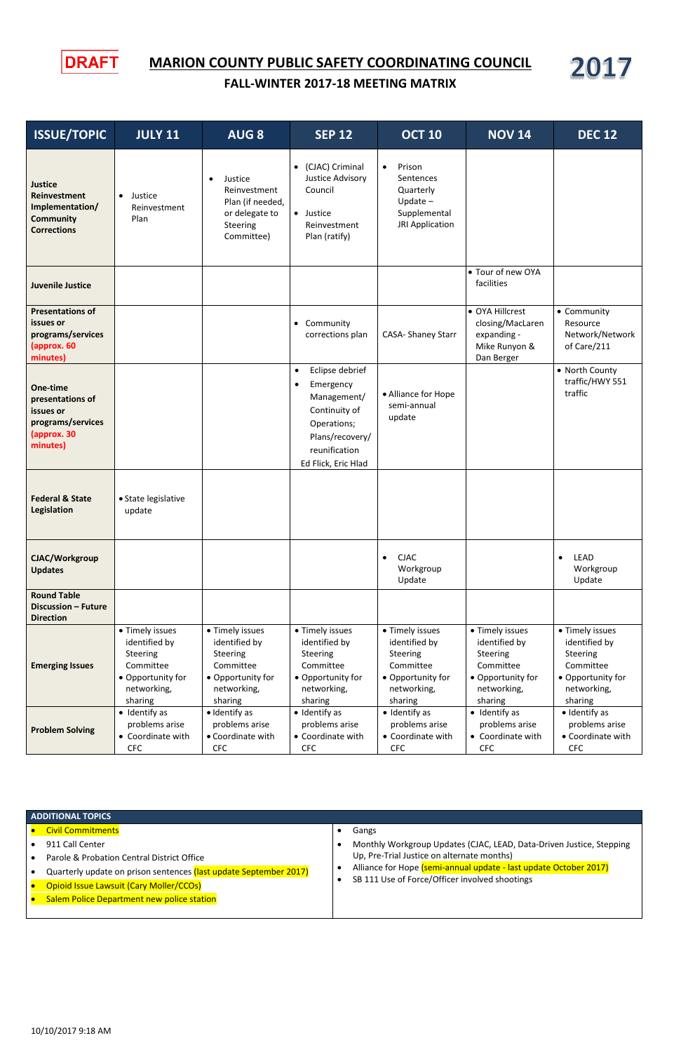

## **MARION COUNTY PUBLIC SAFETY COORDINATING COUNCIL**

2017

## **FALL-WINTER 2017-18 MEETING MATRIX**

- 911 Call Center
- Parole & Probation Central District Office
- Quarterly update on prison sentences (last update September 2017)
- **•** Opioid Issue Lawsuit (Cary Moller/CCOs)
- Salem Police Department new police station

| <b>ISSUE/TOPIC</b>                                                                          | <b>JULY 11</b>                                                                                           | <b>AUG 8</b>                                                                                             | <b>SEP 12</b>                                                                                                                                       | <b>OCT 10</b>                                                                                            | <b>NOV 14</b>                                                                                            | <b>DEC 12</b>                                                                                            |
|---------------------------------------------------------------------------------------------|----------------------------------------------------------------------------------------------------------|----------------------------------------------------------------------------------------------------------|-----------------------------------------------------------------------------------------------------------------------------------------------------|----------------------------------------------------------------------------------------------------------|----------------------------------------------------------------------------------------------------------|----------------------------------------------------------------------------------------------------------|
| <b>Justice</b><br>Reinvestment<br>Implementation/<br><b>Community</b><br><b>Corrections</b> | • Justice<br>Reinvestment<br>Plan                                                                        | Justice<br>$\bullet$<br>Reinvestment<br>Plan (if needed,<br>or delegate to<br>Steering<br>Committee)     | (CJAC) Criminal<br>$\bullet$<br>Justice Advisory<br>Council<br>• Justice<br>Reinvestment<br>Plan (ratify)                                           | Prison<br>$\bullet$<br>Sentences<br>Quarterly<br>Update $-$<br>Supplemental<br>JRI Application           |                                                                                                          |                                                                                                          |
| <b>Juvenile Justice</b>                                                                     |                                                                                                          |                                                                                                          |                                                                                                                                                     |                                                                                                          | • Tour of new OYA<br>facilities                                                                          |                                                                                                          |
| <b>Presentations of</b><br>issues or<br>programs/services<br>(approx. 60<br>minutes)        |                                                                                                          |                                                                                                          | • Community<br>corrections plan                                                                                                                     | <b>CASA- Shaney Starr</b>                                                                                | • OYA Hillcrest<br>closing/MacLaren<br>expanding -<br>Mike Runyon &<br>Dan Berger                        | • Community<br>Resource<br>Network/Network<br>of Care/211                                                |
| One-time<br>presentations of<br>issues or<br>programs/services<br>(approx. 30<br>minutes)   |                                                                                                          |                                                                                                          | Eclipse debrief<br>$\bullet$<br>Emergency<br>Management/<br>Continuity of<br>Operations;<br>Plans/recovery/<br>reunification<br>Ed Flick, Eric Hlad | • Alliance for Hope<br>semi-annual<br>update                                                             |                                                                                                          | • North County<br>traffic/HWY 551<br>traffic                                                             |
| <b>Federal &amp; State</b><br>Legislation                                                   | • State legislative<br>update                                                                            |                                                                                                          |                                                                                                                                                     |                                                                                                          |                                                                                                          |                                                                                                          |
| CJAC/Workgroup<br><b>Updates</b>                                                            |                                                                                                          |                                                                                                          |                                                                                                                                                     | <b>CJAC</b><br>$\bullet$<br>Workgroup<br>Update                                                          |                                                                                                          | <b>LEAD</b><br>$\bullet$<br>Workgroup<br>Update                                                          |
| <b>Round Table</b><br><b>Discussion - Future</b><br><b>Direction</b>                        |                                                                                                          |                                                                                                          |                                                                                                                                                     |                                                                                                          |                                                                                                          |                                                                                                          |
| <b>Emerging Issues</b>                                                                      | • Timely issues<br>identified by<br>Steering<br>Committee<br>• Opportunity for<br>networking,<br>sharing | • Timely issues<br>identified by<br>Steering<br>Committee<br>• Opportunity for<br>networking,<br>sharing | • Timely issues<br>identified by<br>Steering<br>Committee<br>• Opportunity for<br>networking,<br>sharing                                            | • Timely issues<br>identified by<br>Steering<br>Committee<br>• Opportunity for<br>networking,<br>sharing | • Timely issues<br>identified by<br>Steering<br>Committee<br>• Opportunity for<br>networking,<br>sharing | • Timely issues<br>identified by<br>Steering<br>Committee<br>• Opportunity for<br>networking,<br>sharing |
| <b>Problem Solving</b>                                                                      | • Identify as<br>problems arise<br>• Coordinate with<br><b>CFC</b>                                       | · Identify as<br>problems arise<br>• Coordinate with<br><b>CFC</b>                                       | · Identify as<br>problems arise<br>• Coordinate with<br><b>CFC</b>                                                                                  | • Identify as<br>problems arise<br>• Coordinate with<br><b>CFC</b>                                       | $\bullet$ Identify as<br>problems arise<br>• Coordinate with<br><b>CFC</b>                               | · Identify as<br>problems arise<br>• Coordinate with<br><b>CFC</b>                                       |

## **ADDITIONAL TOPICS**

## **•** Civil Commitments

- Gangs
- Monthly Workgroup Updates (CJAC, LEAD, Data-Driven Justice, Stepping Up, Pre-Trial Justice on alternate months)
- Alliance for Hope (semi-annual update last update October 2017)
- SB 111 Use of Force/Officer involved shootings